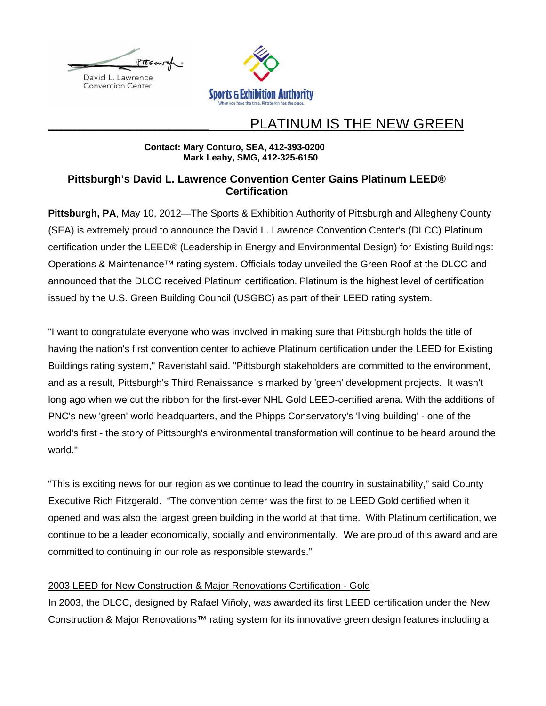



# PLATINUM IS THE NEW GREEN

## **Contact: Mary Conturo, SEA, 412-393-0200 Mark Leahy, SMG, 412-325-6150**

# **Pittsburgh's David L. Lawrence Convention Center Gains Platinum LEED® Certification**

Pittsburgh, PA, May 10, 2012—The Sports & Exhibition Authority of Pittsburgh and Allegheny County (SEA) is extremely proud to announce the David L. Lawrence Convention Center's (DLCC) Platinum certification under the LEED® (Leadership in Energy and Environmental Design) for Existing Buildings: Operations & Maintenance™ rating system. Officials today unveiled the Green Roof at the DLCC and announced that the DLCC received Platinum certification. Platinum is the highest level of certification issued by the U.S. Green Building Council (USGBC) as part of their LEED rating system.

"I want to congratulate everyone who was involved in making sure that Pittsburgh holds the title of having the nation's first convention center to achieve Platinum certification under the LEED for Existing Buildings rating system," Ravenstahl said. "Pittsburgh stakeholders are committed to the environment, and as a result, Pittsburgh's Third Renaissance is marked by 'green' development projects. It wasn't long ago when we cut the ribbon for the first-ever NHL Gold LEED-certified arena. With the additions of PNC's new 'green' world headquarters, and the Phipps Conservatory's 'living building' - one of the world's first - the story of Pittsburgh's environmental transformation will continue to be heard around the world."

"This is exciting news for our region as we continue to lead the country in sustainability," said County Executive Rich Fitzgerald. "The convention center was the first to be LEED Gold certified when it opened and was also the largest green building in the world at that time. With Platinum certification, we continue to be a leader economically, socially and environmentally. We are proud of this award and are committed to continuing in our role as responsible stewards."

# 2003 LEED for New Construction & Major Renovations Certification - Gold

In 2003, the DLCC, designed by Rafael Viñoly, was awarded its first LEED certification under the New Construction & Major Renovations™ rating system for its innovative green design features including a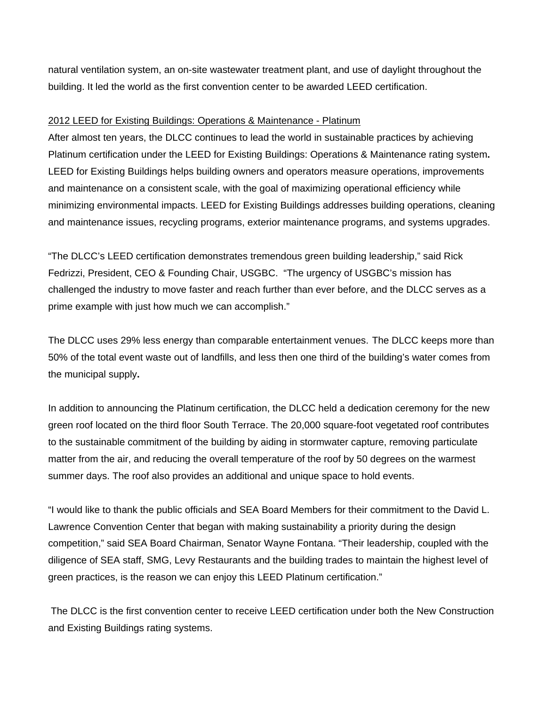natural ventilation system, an on-site wastewater treatment plant, and use of daylight throughout the building. It led the world as the first convention center to be awarded LEED certification.

## 2012 LEED for Existing Buildings: Operations & Maintenance - Platinum

After almost ten years, the DLCC continues to lead the world in sustainable practices by achieving Platinum certification under the LEED for Existing Buildings: Operations & Maintenance rating system**.**  LEED for Existing Buildings helps building owners and operators measure operations, improvements and maintenance on a consistent scale, with the goal of maximizing operational efficiency while minimizing environmental impacts. LEED for Existing Buildings addresses building operations, cleaning and maintenance issues, recycling programs, exterior maintenance programs, and systems upgrades.

"The DLCC's LEED certification demonstrates tremendous green building leadership," said Rick Fedrizzi, President, CEO & Founding Chair, USGBC. "The urgency of USGBC's mission has challenged the industry to move faster and reach further than ever before, and the DLCC serves as a prime example with just how much we can accomplish."

The DLCC uses 29% less energy than comparable entertainment venues.The DLCC keeps more than 50% of the total event waste out of landfills, and less then one third of the building's water comes from the municipal supply**.** 

In addition to announcing the Platinum certification, the DLCC held a dedication ceremony for the new green roof located on the third floor South Terrace. The 20,000 square-foot vegetated roof contributes to the sustainable commitment of the building by aiding in stormwater capture, removing particulate matter from the air, and reducing the overall temperature of the roof by 50 degrees on the warmest summer days. The roof also provides an additional and unique space to hold events.

"I would like to thank the public officials and SEA Board Members for their commitment to the David L. Lawrence Convention Center that began with making sustainability a priority during the design competition," said SEA Board Chairman, Senator Wayne Fontana. "Their leadership, coupled with the diligence of SEA staff, SMG, Levy Restaurants and the building trades to maintain the highest level of green practices, is the reason we can enjoy this LEED Platinum certification."

The DLCC is the first convention center to receive LEED certification under both the New Construction and Existing Buildings rating systems.